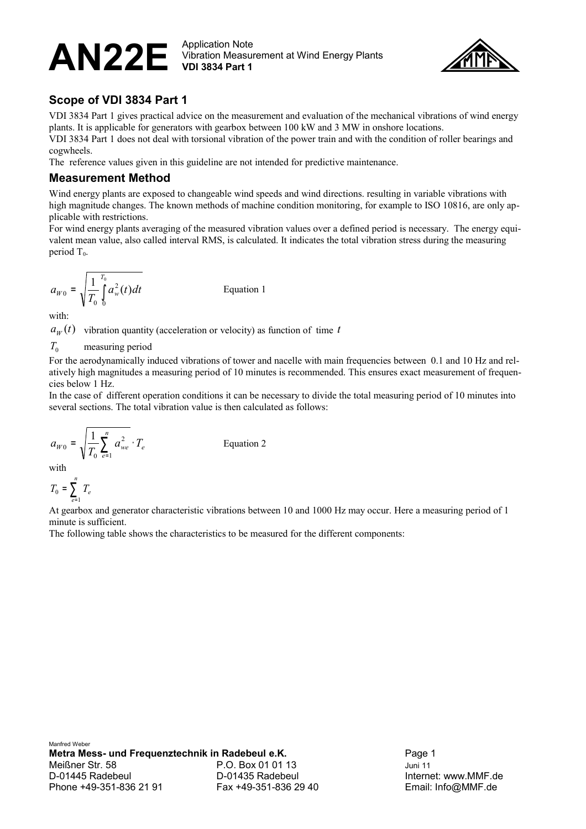#### $\mathsf{AN22E}\ \small\overset{\text{Application Note}}{\substack{\text{Vibration Measu}}$ Vibration Measurement at Wind Energy Plants **VDI 3834 Part 1**



## **Scope of VDI 3834 Part 1**

VDI 3834 Part 1 gives practical advice on the measurement and evaluation of the mechanical vibrations of wind energy plants. It is applicable for generators with gearbox between 100 kW and 3 MW in onshore locations.

VDI 3834 Part 1 does not deal with torsional vibration of the power train and with the condition of roller bearings and cogwheels.

The reference values given in this guideline are not intended for predictive maintenance.

#### **Measurement Method**

Wind energy plants are exposed to changeable wind speeds and wind directions. resulting in variable vibrations with high magnitude changes. The known methods of machine condition monitoring, for example to ISO 10816, are only applicable with restrictions.

For wind energy plants averaging of the measured vibration values over a defined period is necessary. The energy equivalent mean value, also called interval RMS, is calculated. It indicates the total vibration stress during the measuring period  $T_0$ .

$$
a_{W0} = \sqrt{\frac{1}{T_0} \int_{0}^{T_0} a_w^2(t) dt}
$$

*Equation 1* 

with:

 $a_w(t)$  vibration quantity (acceleration or velocity) as function of time *t* 

*T*<sub>0</sub> measuring period

For the aerodynamically induced vibrations of tower and nacelle with main frequencies between 0.1 and 10 Hz and relatively high magnitudes a measuring period of 10 minutes is recommended. This ensures exact measurement of frequencies below 1 Hz.

In the case of different operation conditions it can be necessary to divide the total measuring period of 10 minutes into several sections. The total vibration value is then calculated as follows:

$$
a_{W0} = \sqrt{\frac{1}{T_0} \sum_{e=1}^{n} a_{we}^2} \cdot T_e
$$
 Equation 2

with

$$
T_0 = \sum_{e=1}^n T_e
$$

At gearbox and generator characteristic vibrations between 10 and 1000 Hz may occur. Here a measuring period of 1 minute is sufficient.

The following table shows the characteristics to be measured for the different components: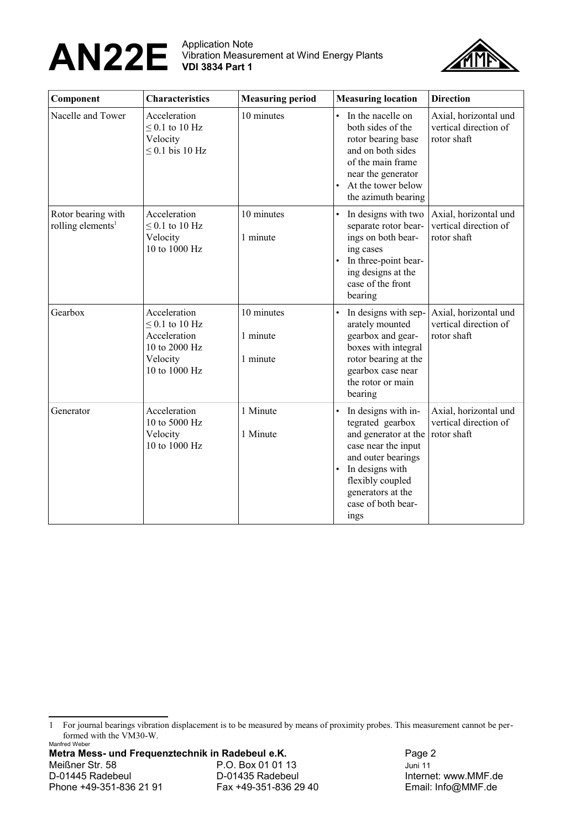# $\mathsf{AN22E}\ \small\overset{\text{Application Note}}{\substack{\text{Vibration Measu}}$

Vibration Measurement at Wind Energy Plants **VDI 3834 Part 1**



| Component                                           | <b>Characteristics</b>                                                                            | <b>Measuring period</b>            | <b>Measuring location</b>                                                                                                                                                                                           | <b>Direction</b>                                              |
|-----------------------------------------------------|---------------------------------------------------------------------------------------------------|------------------------------------|---------------------------------------------------------------------------------------------------------------------------------------------------------------------------------------------------------------------|---------------------------------------------------------------|
| Nacelle and Tower                                   | Acceleration<br>$\leq$ 0.1 to 10 Hz<br>Velocity<br>$\leq$ 0.1 bis 10 Hz                           | 10 minutes                         | In the nacelle on<br>$\bullet$<br>both sides of the<br>rotor bearing base<br>and on both sides<br>of the main frame<br>near the generator<br>At the tower below<br>$\bullet$<br>the azimuth bearing                 | Axial, horizontal und<br>vertical direction of<br>rotor shaft |
| Rotor bearing with<br>rolling elements <sup>1</sup> | Acceleration<br>$\leq$ 0.1 to 10 Hz<br>Velocity<br>10 to 1000 Hz                                  | 10 minutes<br>1 minute             | In designs with two<br>$\bullet$<br>separate rotor bear-<br>ings on both bear-<br>ing cases<br>In three-point bear-<br>ing designs at the<br>case of the front<br>bearing                                           | Axial, horizontal und<br>vertical direction of<br>rotor shaft |
| Gearbox                                             | Acceleration<br>$\leq$ 0.1 to 10 Hz<br>Acceleration<br>10 to 2000 Hz<br>Velocity<br>10 to 1000 Hz | 10 minutes<br>1 minute<br>1 minute | In designs with sep-<br>arately mounted<br>gearbox and gear-<br>boxes with integral<br>rotor bearing at the<br>gearbox case near<br>the rotor or main<br>bearing                                                    | Axial, horizontal und<br>vertical direction of<br>rotor shaft |
| Generator                                           | Acceleration<br>10 to 5000 Hz<br>Velocity<br>10 to 1000 Hz                                        | 1 Minute<br>1 Minute               | In designs with in-<br>$\bullet$<br>tegrated gearbox<br>and generator at the<br>case near the input<br>and outer bearings<br>In designs with<br>flexibly coupled<br>generators at the<br>case of both bear-<br>ings | Axial, horizontal und<br>vertical direction of<br>rotor shaft |

<span id="page-1-0"></span>1 For journal bearings vibration displacement is to be measured by means of proximity probes. This measurement cannot be performed with the VM30-W.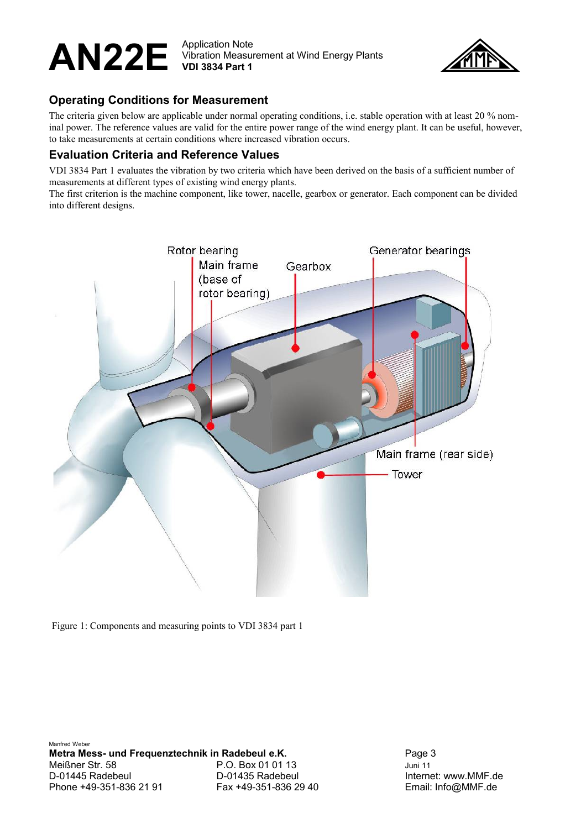#### $\mathsf{AN22E}\ \small\overset{\text{Application Note}}{\substack{\text{Vibration Measu}}$ Vibration Measurement at Wind Energy Plants **VDI 3834 Part 1**



## **Operating Conditions for Measurement**

The criteria given below are applicable under normal operating conditions, i.e. stable operation with at least 20 % nominal power. The reference values are valid for the entire power range of the wind energy plant. It can be useful, however, to take measurements at certain conditions where increased vibration occurs.

## **Evaluation Criteria and Reference Values**

VDI 3834 Part 1 evaluates the vibration by two criteria which have been derived on the basis of a sufficient number of measurements at different types of existing wind energy plants.

The first criterion is the machine component, like tower, nacelle, gearbox or generator. Each component can be divided into different designs.



Figure 1: Components and measuring points to VDI 3834 part 1

Manfred Weber **Metra Mess- und Frequenztechnik in Radebeul e.K.** Page 3 Meißner Str. 58 P.O. Box 01 01 13 Juni 11 D-01445 Radebeul **D-01435 Radebeul** D-01435 Radebeul **Internet: www.MMF.de** Phone +49-351-836 21 91 Fax +49-351-836 29 40 Email: Info@MMF.de